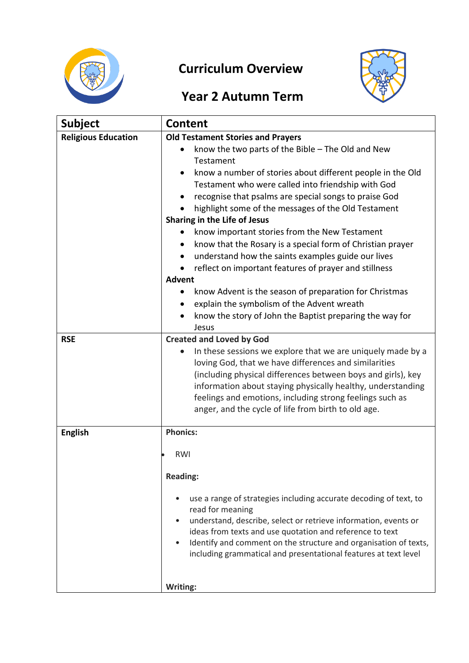

## **Curriculum Overview**



## **Year 2 Autumn Term**

| <b>Subject</b>             | <b>Content</b>                                                                                                                      |
|----------------------------|-------------------------------------------------------------------------------------------------------------------------------------|
| <b>Religious Education</b> | <b>Old Testament Stories and Prayers</b>                                                                                            |
|                            | know the two parts of the Bible $-$ The Old and New                                                                                 |
|                            | Testament                                                                                                                           |
|                            | know a number of stories about different people in the Old                                                                          |
|                            | Testament who were called into friendship with God                                                                                  |
|                            | recognise that psalms are special songs to praise God                                                                               |
|                            | highlight some of the messages of the Old Testament                                                                                 |
|                            | Sharing in the Life of Jesus                                                                                                        |
|                            | know important stories from the New Testament                                                                                       |
|                            | know that the Rosary is a special form of Christian prayer                                                                          |
|                            | understand how the saints examples guide our lives                                                                                  |
|                            | reflect on important features of prayer and stillness<br><b>Advent</b>                                                              |
|                            |                                                                                                                                     |
|                            | know Advent is the season of preparation for Christmas<br>explain the symbolism of the Advent wreath                                |
|                            | know the story of John the Baptist preparing the way for                                                                            |
|                            | Jesus                                                                                                                               |
| <b>RSE</b>                 | <b>Created and Loved by God</b>                                                                                                     |
|                            | In these sessions we explore that we are uniquely made by a                                                                         |
|                            | loving God, that we have differences and similarities                                                                               |
|                            | (including physical differences between boys and girls), key                                                                        |
|                            | information about staying physically healthy, understanding                                                                         |
|                            | feelings and emotions, including strong feelings such as                                                                            |
|                            | anger, and the cycle of life from birth to old age.                                                                                 |
| <b>English</b>             | <b>Phonics:</b>                                                                                                                     |
|                            |                                                                                                                                     |
|                            | RWI                                                                                                                                 |
|                            | <b>Reading:</b>                                                                                                                     |
|                            |                                                                                                                                     |
|                            | use a range of strategies including accurate decoding of text, to                                                                   |
|                            | read for meaning                                                                                                                    |
|                            | understand, describe, select or retrieve information, events or                                                                     |
|                            | ideas from texts and use quotation and reference to text                                                                            |
|                            | Identify and comment on the structure and organisation of texts,<br>including grammatical and presentational features at text level |
|                            |                                                                                                                                     |
|                            |                                                                                                                                     |
|                            | Writing:                                                                                                                            |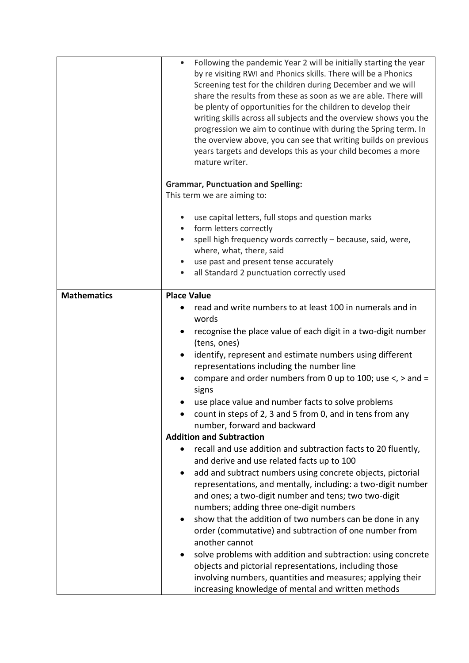|                    | Following the pandemic Year 2 will be initially starting the year<br>$\bullet$<br>by re visiting RWI and Phonics skills. There will be a Phonics<br>Screening test for the children during December and we will<br>share the results from these as soon as we are able. There will<br>be plenty of opportunities for the children to develop their<br>writing skills across all subjects and the overview shows you the<br>progression we aim to continue with during the Spring term. In<br>the overview above, you can see that writing builds on previous<br>years targets and develops this as your child becomes a more<br>mature writer.                                                                                                                                                                                                                                                                                                                                                                                                                                                                                                                                                                                                                                                                 |
|--------------------|----------------------------------------------------------------------------------------------------------------------------------------------------------------------------------------------------------------------------------------------------------------------------------------------------------------------------------------------------------------------------------------------------------------------------------------------------------------------------------------------------------------------------------------------------------------------------------------------------------------------------------------------------------------------------------------------------------------------------------------------------------------------------------------------------------------------------------------------------------------------------------------------------------------------------------------------------------------------------------------------------------------------------------------------------------------------------------------------------------------------------------------------------------------------------------------------------------------------------------------------------------------------------------------------------------------|
|                    | <b>Grammar, Punctuation and Spelling:</b><br>This term we are aiming to:                                                                                                                                                                                                                                                                                                                                                                                                                                                                                                                                                                                                                                                                                                                                                                                                                                                                                                                                                                                                                                                                                                                                                                                                                                       |
|                    | use capital letters, full stops and question marks<br>$\bullet$<br>form letters correctly<br>$\bullet$<br>spell high frequency words correctly - because, said, were,<br>where, what, there, said<br>use past and present tense accurately<br>all Standard 2 punctuation correctly used<br>$\bullet$                                                                                                                                                                                                                                                                                                                                                                                                                                                                                                                                                                                                                                                                                                                                                                                                                                                                                                                                                                                                           |
| <b>Mathematics</b> | <b>Place Value</b><br>read and write numbers to at least 100 in numerals and in<br>words<br>recognise the place value of each digit in a two-digit number<br>(tens, ones)<br>identify, represent and estimate numbers using different<br>representations including the number line<br>compare and order numbers from 0 up to 100; use $\lt$ , $>$ and =<br>signs<br>use place value and number facts to solve problems<br>count in steps of 2, 3 and 5 from 0, and in tens from any<br>number, forward and backward<br><b>Addition and Subtraction</b><br>recall and use addition and subtraction facts to 20 fluently,<br>$\bullet$<br>and derive and use related facts up to 100<br>add and subtract numbers using concrete objects, pictorial<br>٠<br>representations, and mentally, including: a two-digit number<br>and ones; a two-digit number and tens; two two-digit<br>numbers; adding three one-digit numbers<br>show that the addition of two numbers can be done in any<br>order (commutative) and subtraction of one number from<br>another cannot<br>solve problems with addition and subtraction: using concrete<br>objects and pictorial representations, including those<br>involving numbers, quantities and measures; applying their<br>increasing knowledge of mental and written methods |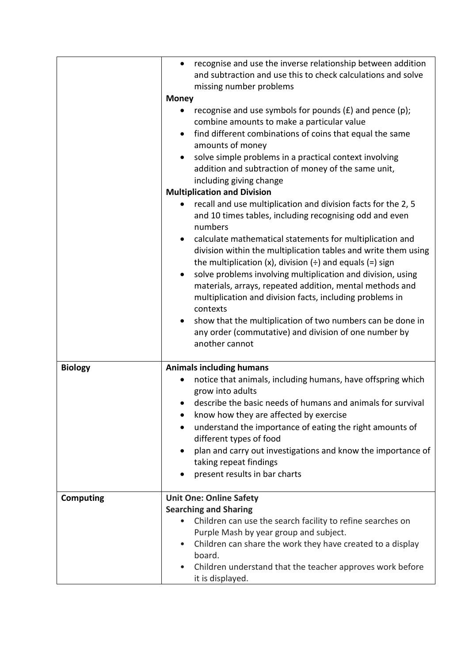|                  | recognise and use the inverse relationship between addition<br>$\bullet$<br>and subtraction and use this to check calculations and solve<br>missing number problems<br><b>Money</b><br>recognise and use symbols for pounds $(E)$ and pence $(p)$ ;<br>combine amounts to make a particular value<br>find different combinations of coins that equal the same<br>amounts of money<br>solve simple problems in a practical context involving<br>addition and subtraction of money of the same unit,<br>including giving change<br><b>Multiplication and Division</b><br>recall and use multiplication and division facts for the 2, 5<br>and 10 times tables, including recognising odd and even<br>numbers<br>calculate mathematical statements for multiplication and<br>division within the multiplication tables and write them using<br>the multiplication (x), division $($ $\div$ ) and equals (=) sign<br>solve problems involving multiplication and division, using<br>materials, arrays, repeated addition, mental methods and<br>multiplication and division facts, including problems in<br>contexts |
|------------------|------------------------------------------------------------------------------------------------------------------------------------------------------------------------------------------------------------------------------------------------------------------------------------------------------------------------------------------------------------------------------------------------------------------------------------------------------------------------------------------------------------------------------------------------------------------------------------------------------------------------------------------------------------------------------------------------------------------------------------------------------------------------------------------------------------------------------------------------------------------------------------------------------------------------------------------------------------------------------------------------------------------------------------------------------------------------------------------------------------------|
|                  | show that the multiplication of two numbers can be done in<br>any order (commutative) and division of one number by<br>another cannot                                                                                                                                                                                                                                                                                                                                                                                                                                                                                                                                                                                                                                                                                                                                                                                                                                                                                                                                                                            |
| <b>Biology</b>   | <b>Animals including humans</b>                                                                                                                                                                                                                                                                                                                                                                                                                                                                                                                                                                                                                                                                                                                                                                                                                                                                                                                                                                                                                                                                                  |
|                  | notice that animals, including humans, have offspring which<br>grow into adults                                                                                                                                                                                                                                                                                                                                                                                                                                                                                                                                                                                                                                                                                                                                                                                                                                                                                                                                                                                                                                  |
|                  | describe the basic needs of humans and animals for survival                                                                                                                                                                                                                                                                                                                                                                                                                                                                                                                                                                                                                                                                                                                                                                                                                                                                                                                                                                                                                                                      |
|                  | know how they are affected by exercise                                                                                                                                                                                                                                                                                                                                                                                                                                                                                                                                                                                                                                                                                                                                                                                                                                                                                                                                                                                                                                                                           |
|                  | understand the importance of eating the right amounts of<br>different types of food                                                                                                                                                                                                                                                                                                                                                                                                                                                                                                                                                                                                                                                                                                                                                                                                                                                                                                                                                                                                                              |
|                  | plan and carry out investigations and know the importance of                                                                                                                                                                                                                                                                                                                                                                                                                                                                                                                                                                                                                                                                                                                                                                                                                                                                                                                                                                                                                                                     |
|                  | taking repeat findings                                                                                                                                                                                                                                                                                                                                                                                                                                                                                                                                                                                                                                                                                                                                                                                                                                                                                                                                                                                                                                                                                           |
|                  | present results in bar charts                                                                                                                                                                                                                                                                                                                                                                                                                                                                                                                                                                                                                                                                                                                                                                                                                                                                                                                                                                                                                                                                                    |
| <b>Computing</b> | <b>Unit One: Online Safety</b>                                                                                                                                                                                                                                                                                                                                                                                                                                                                                                                                                                                                                                                                                                                                                                                                                                                                                                                                                                                                                                                                                   |
|                  | <b>Searching and Sharing</b>                                                                                                                                                                                                                                                                                                                                                                                                                                                                                                                                                                                                                                                                                                                                                                                                                                                                                                                                                                                                                                                                                     |
|                  | Children can use the search facility to refine searches on                                                                                                                                                                                                                                                                                                                                                                                                                                                                                                                                                                                                                                                                                                                                                                                                                                                                                                                                                                                                                                                       |
|                  | Purple Mash by year group and subject.                                                                                                                                                                                                                                                                                                                                                                                                                                                                                                                                                                                                                                                                                                                                                                                                                                                                                                                                                                                                                                                                           |
|                  | Children can share the work they have created to a display<br>$\bullet$<br>board.                                                                                                                                                                                                                                                                                                                                                                                                                                                                                                                                                                                                                                                                                                                                                                                                                                                                                                                                                                                                                                |
|                  | Children understand that the teacher approves work before<br>it is displayed.                                                                                                                                                                                                                                                                                                                                                                                                                                                                                                                                                                                                                                                                                                                                                                                                                                                                                                                                                                                                                                    |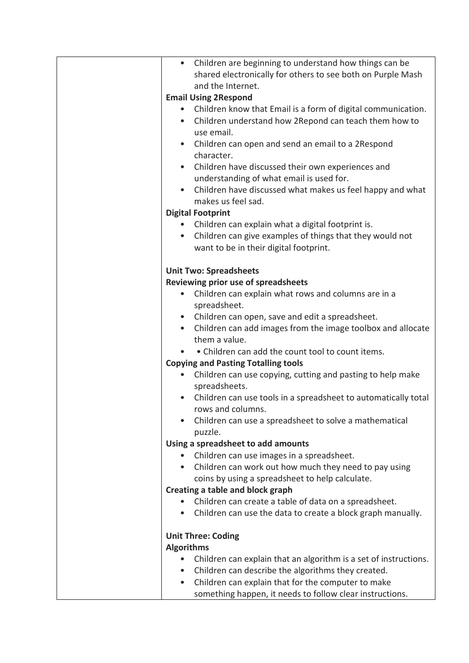| Children are beginning to understand how things can be<br>$\bullet$           |
|-------------------------------------------------------------------------------|
| shared electronically for others to see both on Purple Mash                   |
| and the Internet.                                                             |
| <b>Email Using 2Respond</b>                                                   |
| Children know that Email is a form of digital communication.                  |
| Children understand how 2Repond can teach them how to<br>$\bullet$            |
| use email.                                                                    |
| Children can open and send an email to a 2Respond<br>$\bullet$                |
| character.                                                                    |
| Children have discussed their own experiences and                             |
| understanding of what email is used for.                                      |
| Children have discussed what makes us feel happy and what                     |
| makes us feel sad.                                                            |
| <b>Digital Footprint</b>                                                      |
| • Children can explain what a digital footprint is.                           |
| Children can give examples of things that they would not<br>$\bullet$         |
| want to be in their digital footprint.                                        |
|                                                                               |
| <b>Unit Two: Spreadsheets</b>                                                 |
| Reviewing prior use of spreadsheets                                           |
| Children can explain what rows and columns are in a<br>$\bullet$              |
| spreadsheet.                                                                  |
| Children can open, save and edit a spreadsheet.                               |
| Children can add images from the image toolbox and allocate<br>$\bullet$      |
| them a value.                                                                 |
| • Children can add the count tool to count items.                             |
| <b>Copying and Pasting Totalling tools</b>                                    |
| Children can use copying, cutting and pasting to help make                    |
| spreadsheets.                                                                 |
|                                                                               |
| Children can use tools in a spreadsheet to automatically total                |
| rows and columns.                                                             |
| Children can use a spreadsheet to solve a mathematical<br>puzzle.             |
|                                                                               |
| Using a spreadsheet to add amounts                                            |
| Children can use images in a spreadsheet.                                     |
| Children can work out how much they need to pay using                         |
| coins by using a spreadsheet to help calculate.                               |
| Creating a table and block graph                                              |
| Children can create a table of data on a spreadsheet.                         |
| Children can use the data to create a block graph manually.                   |
|                                                                               |
| <b>Unit Three: Coding</b>                                                     |
| <b>Algorithms</b>                                                             |
| Children can explain that an algorithm is a set of instructions.<br>$\bullet$ |
| Children can describe the algorithms they created.                            |
| Children can explain that for the computer to make<br>$\bullet$               |
| something happen, it needs to follow clear instructions.                      |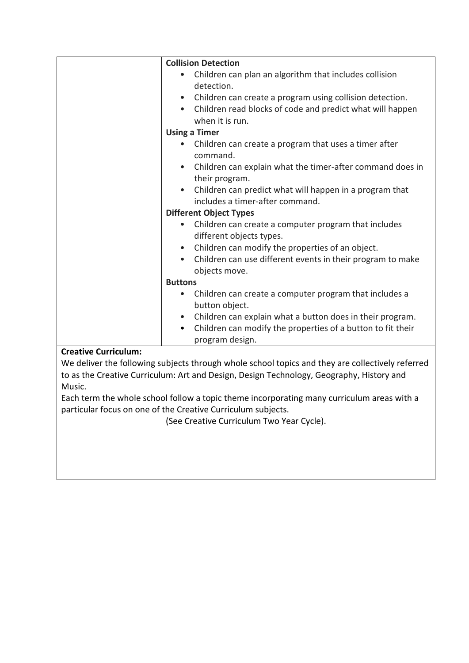| <b>Collision Detection</b>                                               |  |
|--------------------------------------------------------------------------|--|
| Children can plan an algorithm that includes collision                   |  |
| detection.                                                               |  |
| Children can create a program using collision detection.<br>$\bullet$    |  |
| Children read blocks of code and predict what will happen                |  |
| when it is run.                                                          |  |
| <b>Using a Timer</b>                                                     |  |
| Children can create a program that uses a timer after                    |  |
| command.                                                                 |  |
| Children can explain what the timer-after command does in<br>$\bullet$   |  |
| their program.                                                           |  |
| Children can predict what will happen in a program that<br>$\bullet$     |  |
| includes a timer-after command.                                          |  |
| <b>Different Object Types</b>                                            |  |
| Children can create a computer program that includes                     |  |
| different objects types.                                                 |  |
| Children can modify the properties of an object.                         |  |
| Children can use different events in their program to make<br>$\bullet$  |  |
| objects move.                                                            |  |
| <b>Buttons</b>                                                           |  |
| Children can create a computer program that includes a<br>$\bullet$      |  |
| button object.                                                           |  |
| Children can explain what a button does in their program.<br>$\bullet$   |  |
| Children can modify the properties of a button to fit their<br>$\bullet$ |  |
| program design.                                                          |  |
|                                                                          |  |

## **Creative Curriculum:**

We deliver the following subjects through whole school topics and they are collectively referred to as the Creative Curriculum: Art and Design, Design Technology, Geography, History and Music.

Each term the whole school follow a topic theme incorporating many curriculum areas with a particular focus on one of the Creative Curriculum subjects.

(See Creative Curriculum Two Year Cycle).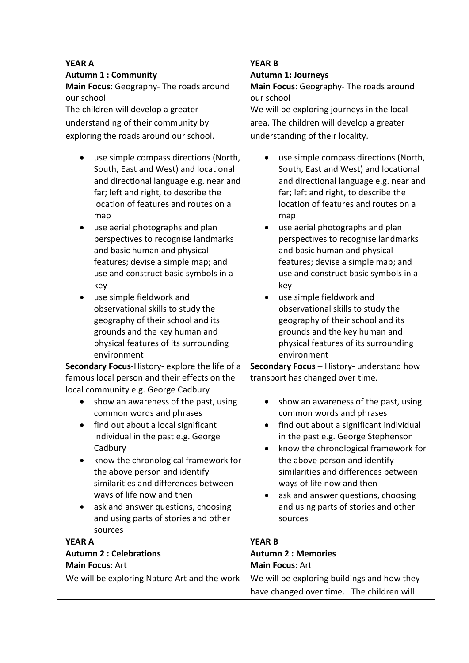| <b>YEAR A</b>                                                                                                                                                                                                                                                                                                                                                                                                                                                                                                                                                                                | <b>YEAR B</b>                                                                                                                                                                                                                                                                                                                                                                                                                                                                                                                                                                                |  |
|----------------------------------------------------------------------------------------------------------------------------------------------------------------------------------------------------------------------------------------------------------------------------------------------------------------------------------------------------------------------------------------------------------------------------------------------------------------------------------------------------------------------------------------------------------------------------------------------|----------------------------------------------------------------------------------------------------------------------------------------------------------------------------------------------------------------------------------------------------------------------------------------------------------------------------------------------------------------------------------------------------------------------------------------------------------------------------------------------------------------------------------------------------------------------------------------------|--|
| <b>Autumn 1: Community</b>                                                                                                                                                                                                                                                                                                                                                                                                                                                                                                                                                                   | <b>Autumn 1: Journeys</b>                                                                                                                                                                                                                                                                                                                                                                                                                                                                                                                                                                    |  |
| Main Focus: Geography- The roads around                                                                                                                                                                                                                                                                                                                                                                                                                                                                                                                                                      | Main Focus: Geography- The roads around                                                                                                                                                                                                                                                                                                                                                                                                                                                                                                                                                      |  |
| our school                                                                                                                                                                                                                                                                                                                                                                                                                                                                                                                                                                                   | our school                                                                                                                                                                                                                                                                                                                                                                                                                                                                                                                                                                                   |  |
| The children will develop a greater                                                                                                                                                                                                                                                                                                                                                                                                                                                                                                                                                          | We will be exploring journeys in the local                                                                                                                                                                                                                                                                                                                                                                                                                                                                                                                                                   |  |
| understanding of their community by                                                                                                                                                                                                                                                                                                                                                                                                                                                                                                                                                          | area. The children will develop a greater                                                                                                                                                                                                                                                                                                                                                                                                                                                                                                                                                    |  |
| exploring the roads around our school.                                                                                                                                                                                                                                                                                                                                                                                                                                                                                                                                                       | understanding of their locality.                                                                                                                                                                                                                                                                                                                                                                                                                                                                                                                                                             |  |
| use simple compass directions (North,<br>South, East and West) and locational<br>and directional language e.g. near and<br>far; left and right, to describe the<br>location of features and routes on a<br>map<br>use aerial photographs and plan<br>perspectives to recognise landmarks<br>and basic human and physical<br>features; devise a simple map; and<br>use and construct basic symbols in a<br>key<br>use simple fieldwork and<br>observational skills to study the<br>geography of their school and its<br>grounds and the key human and<br>physical features of its surrounding | use simple compass directions (North,<br>South, East and West) and locational<br>and directional language e.g. near and<br>far; left and right, to describe the<br>location of features and routes on a<br>map<br>use aerial photographs and plan<br>perspectives to recognise landmarks<br>and basic human and physical<br>features; devise a simple map; and<br>use and construct basic symbols in a<br>key<br>use simple fieldwork and<br>observational skills to study the<br>geography of their school and its<br>grounds and the key human and<br>physical features of its surrounding |  |
| environment                                                                                                                                                                                                                                                                                                                                                                                                                                                                                                                                                                                  | environment<br>Secondary Focus - History- understand how                                                                                                                                                                                                                                                                                                                                                                                                                                                                                                                                     |  |
| Secondary Focus-History- explore the life of a<br>famous local person and their effects on the                                                                                                                                                                                                                                                                                                                                                                                                                                                                                               | transport has changed over time.                                                                                                                                                                                                                                                                                                                                                                                                                                                                                                                                                             |  |
| local community e.g. George Cadbury                                                                                                                                                                                                                                                                                                                                                                                                                                                                                                                                                          |                                                                                                                                                                                                                                                                                                                                                                                                                                                                                                                                                                                              |  |
| show an awareness of the past, using<br>common words and phrases<br>find out about a local significant<br>$\bullet$<br>individual in the past e.g. George<br>Cadbury<br>know the chronological framework for<br>the above person and identify<br>similarities and differences between<br>ways of life now and then<br>ask and answer questions, choosing<br>$\bullet$<br>and using parts of stories and other<br>sources                                                                                                                                                                     | show an awareness of the past, using<br>common words and phrases<br>find out about a significant individual<br>in the past e.g. George Stephenson<br>know the chronological framework for<br>$\bullet$<br>the above person and identify<br>similarities and differences between<br>ways of life now and then<br>ask and answer questions, choosing<br>and using parts of stories and other<br>sources                                                                                                                                                                                        |  |
| <b>YEAR A</b>                                                                                                                                                                                                                                                                                                                                                                                                                                                                                                                                                                                | <b>YEAR B</b>                                                                                                                                                                                                                                                                                                                                                                                                                                                                                                                                                                                |  |
| <b>Autumn 2: Celebrations</b><br>Main Focus: Art                                                                                                                                                                                                                                                                                                                                                                                                                                                                                                                                             | <b>Autumn 2: Memories</b><br>Main Focus: Art                                                                                                                                                                                                                                                                                                                                                                                                                                                                                                                                                 |  |
|                                                                                                                                                                                                                                                                                                                                                                                                                                                                                                                                                                                              |                                                                                                                                                                                                                                                                                                                                                                                                                                                                                                                                                                                              |  |
| We will be exploring Nature Art and the work                                                                                                                                                                                                                                                                                                                                                                                                                                                                                                                                                 | We will be exploring buildings and how they<br>have changed over time. The children will                                                                                                                                                                                                                                                                                                                                                                                                                                                                                                     |  |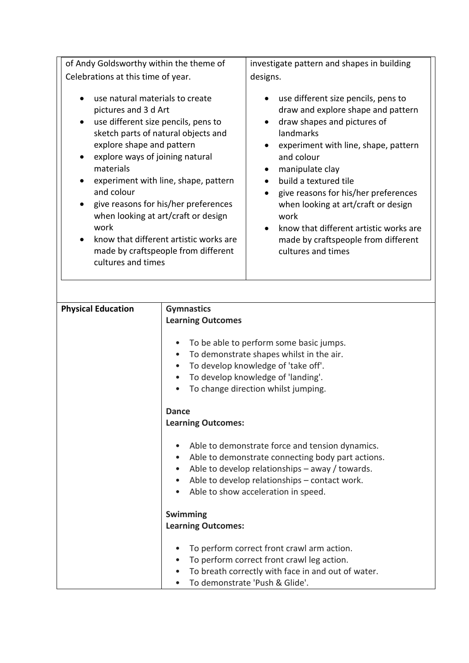| Celebrations at this time of year.<br>designs.<br>use natural materials to create<br>use different size pencils, pens to<br>draw and explore shape and pattern<br>pictures and 3 d Art<br>use different size pencils, pens to<br>draw shapes and pictures of<br>$\bullet$<br>sketch parts of natural objects and<br>landmarks<br>explore shape and pattern<br>experiment with line, shape, pattern<br>and colour<br>explore ways of joining natural<br>materials<br>manipulate clay<br>$\bullet$<br>experiment with line, shape, pattern<br>build a textured tile | of Andy Goldsworthy within the theme of | investigate pattern and shapes in building |
|-------------------------------------------------------------------------------------------------------------------------------------------------------------------------------------------------------------------------------------------------------------------------------------------------------------------------------------------------------------------------------------------------------------------------------------------------------------------------------------------------------------------------------------------------------------------|-----------------------------------------|--------------------------------------------|
|                                                                                                                                                                                                                                                                                                                                                                                                                                                                                                                                                                   |                                         |                                            |
| give reasons for his/her preferences<br>when looking at art/craft or design<br>$\bullet$<br>when looking at art/craft or design<br>work<br>work<br>know that different artistic works are<br>know that different artistic works are<br>made by craftspeople from different<br>$\bullet$<br>made by craftspeople from different<br>cultures and times<br>cultures and times                                                                                                                                                                                        | and colour                              | give reasons for his/her preferences       |

| <b>Physical Education</b> | <b>Gymnastics</b>                                              |  |
|---------------------------|----------------------------------------------------------------|--|
|                           | <b>Learning Outcomes</b>                                       |  |
|                           |                                                                |  |
|                           | To be able to perform some basic jumps.                        |  |
|                           | To demonstrate shapes whilst in the air.                       |  |
|                           | To develop knowledge of 'take off'.                            |  |
|                           |                                                                |  |
|                           | To develop knowledge of 'landing'.                             |  |
|                           | To change direction whilst jumping.                            |  |
|                           |                                                                |  |
|                           | <b>Dance</b>                                                   |  |
|                           | <b>Learning Outcomes:</b>                                      |  |
|                           |                                                                |  |
|                           | Able to demonstrate force and tension dynamics.<br>$\bullet$   |  |
|                           | Able to demonstrate connecting body part actions.<br>$\bullet$ |  |
|                           | Able to develop relationships - away / towards.<br>$\bullet$   |  |
|                           | Able to develop relationships - contact work.<br>$\bullet$     |  |
|                           | Able to show acceleration in speed.                            |  |
|                           |                                                                |  |
|                           | <b>Swimming</b>                                                |  |
|                           | <b>Learning Outcomes:</b>                                      |  |
|                           |                                                                |  |
|                           | To perform correct front crawl arm action.                     |  |
|                           | To perform correct front crawl leg action.                     |  |
|                           | To breath correctly with face in and out of water.             |  |
|                           |                                                                |  |
|                           | To demonstrate 'Push & Glide'.                                 |  |